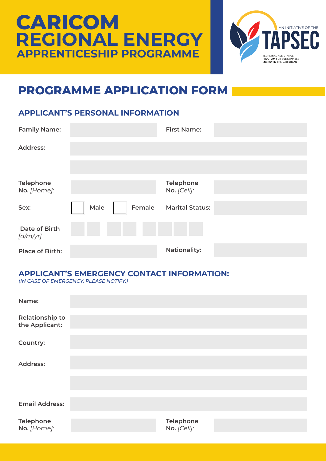# **CARICOM REGIONAL ENERGY APPRENTICESHIP PROGRAMME**



## **PROGRAMME APPLICATION FORM**

### **APPLICANT'S PERSONAL INFORMATION**

| <b>Family Name:</b>             |      |        | <b>First Name:</b>              |  |
|---------------------------------|------|--------|---------------------------------|--|
| Address:                        |      |        |                                 |  |
|                                 |      |        |                                 |  |
| <b>Telephone</b><br>No. [Home]: |      |        | <b>Telephone</b><br>No. [Cell]: |  |
| Sex:                            | Male | Female | <b>Marital Status:</b>          |  |
| Date of Birth<br>[d/m/yr]       |      |        |                                 |  |
| <b>Place of Birth:</b>          |      |        | <b>Nationality:</b>             |  |

#### **APPLICANT'S EMERGENCY CONTACT INFORMATION:**

*(IN CASE OF EMERGENCY, PLEASE NOTIFY.)*

| Name:                                    |                          |  |
|------------------------------------------|--------------------------|--|
| <b>Relationship to</b><br>the Applicant: |                          |  |
| Country:                                 |                          |  |
| <b>Address:</b>                          |                          |  |
|                                          |                          |  |
| <b>Email Address:</b>                    |                          |  |
| <b>Telephone</b><br>No. [Home]:          | Telephone<br>No. [Cell]: |  |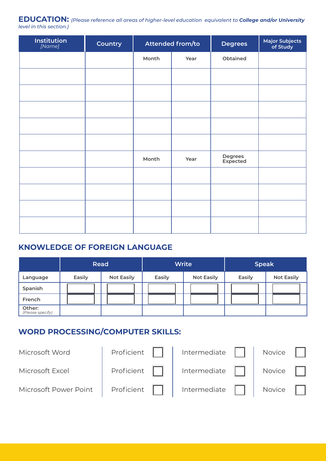**EDUCATION:** *(Please reference all areas of higher-level education equivalent to College and/or University level in this section.)*

| <b>Institution</b><br>[Name] | Country | Attended from/to |      | <b>Degrees</b>      | <b>Major Subjects</b><br>of Study |
|------------------------------|---------|------------------|------|---------------------|-----------------------------------|
|                              |         | Month            | Year | Obtained            |                                   |
|                              |         |                  |      |                     |                                   |
|                              |         |                  |      |                     |                                   |
|                              |         |                  |      |                     |                                   |
|                              |         |                  |      |                     |                                   |
|                              |         |                  |      |                     |                                   |
|                              |         | Month            | Year | Degrees<br>Expected |                                   |
|                              |         |                  |      |                     |                                   |
|                              |         |                  |      |                     |                                   |
|                              |         |                  |      |                     |                                   |
|                              |         |                  |      |                     |                                   |

#### **KNOWLEDGE OF FOREIGN LANGUAGE**

|                            | Read   |                   | <b>Write</b> |                   | <b>Speak</b> |                   |
|----------------------------|--------|-------------------|--------------|-------------------|--------------|-------------------|
| Language                   | Easily | <b>Not Easily</b> | Easily       | <b>Not Easily</b> | Easily       | <b>Not Easily</b> |
| Spanish                    |        |                   |              |                   |              |                   |
| French                     |        |                   |              |                   |              |                   |
| Other:<br>(Please specify) |        |                   |              |                   |              |                   |

#### **WORD PROCESSING/COMPUTER SKILLS:**

| Microsoft Word        | Proficient | Intermediate $\ $ | Novice |
|-----------------------|------------|-------------------|--------|
| Microsoft Excel       | Proficient | Intermediate      | Novice |
| Microsoft Power Point | Proficient | Intermediate      | Novice |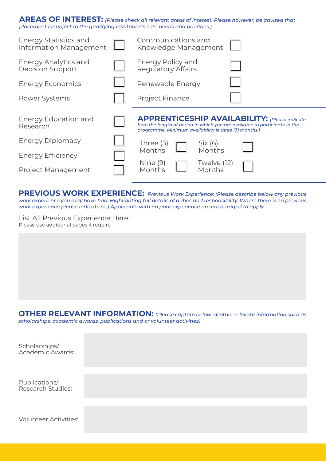**AREAS OF INTEREST:** *(Please check all relevant areas of interest. Please however, be advised that placement is subject to the qualifying institution's core needs and priorities.)*

| <b>Energy Statistics and</b><br><b>Information Management</b> |  | Communications and<br>Knowledge Management                                 |                                                      |
|---------------------------------------------------------------|--|----------------------------------------------------------------------------|------------------------------------------------------|
| Energy Analytics and<br><b>Decision Support</b>               |  | Energy Policy and<br><b>Regulatory Affairs</b>                             |                                                      |
| <b>Energy Economics</b>                                       |  | Renewable Energy                                                           |                                                      |
| <b>Power Systems</b>                                          |  | <b>Project Finance</b>                                                     |                                                      |
| Energy Education and<br>Research                              |  | here the length of period in which you are available to participate in the | <b>APPRENTICESHIP AVAILABILITY:</b> (Please indicate |
|                                                               |  | programme. Minimum availability is three (3) months.)                      |                                                      |
| <b>Energy Diplomacy</b>                                       |  | Three (3)<br>Six (6)<br>Months<br>Months                                   |                                                      |
| <b>Energy Efficiency</b>                                      |  | Twelve (12)<br>Nine $(9)$                                                  |                                                      |

**PREVIOUS WORK EXPERIENCE:** *Previous Work Experience: (Please describe below any previous work experience you may have had. Highlighting full details of duties and responsibility. Where there is no previous work experience please indicate so.) Applicants with no prior experience are encouraged to apply.* 

List All Previous Experience Here: Please use additional pages if require

**OTHER RELEVANT INFORMATION:** *(Please capture below all other relevant information such as scholarships, academic awards, publications and or volunteer activities)*

| Scholarships/<br>Academic Awards:  |  |  |
|------------------------------------|--|--|
| Publications/<br>Research Studies: |  |  |
| <b>Volunteer Activities:</b>       |  |  |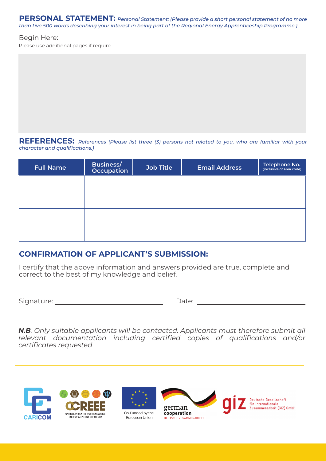**PERSONAL STATEMENT:** *Personal Statement: (Please provide a short personal statement of no more than five 500 words describing your interest in being part of the Regional Energy Apprenticeship Programme.)* 

Begin Here: Please use additional pages if require

**REFERENCES:** *References (Please list three (3) persons not related to you, who are familiar with your character and qualifications.)* 

| <b>Full Name</b> | Business/<br>Occupation | <b>Job Title</b> | <b>Email Address</b> | Telephone No.<br>(inclusive of area code) |
|------------------|-------------------------|------------------|----------------------|-------------------------------------------|
|                  |                         |                  |                      |                                           |
|                  |                         |                  |                      |                                           |
|                  |                         |                  |                      |                                           |
|                  |                         |                  |                      |                                           |

#### **CONFIRMATION OF APPLICANT'S SUBMISSION:**

I certify that the above information and answers provided are true, complete and correct to the best of my knowledge and belief.

Signature:

Date:

*N.B. Only suitable applicants will be contacted. Applicants must therefore submit all relevant documentation including certified copies of qualifications and/or certificates requested*







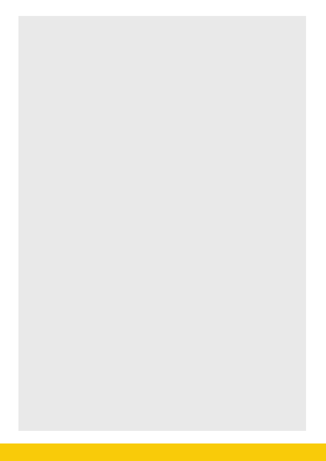